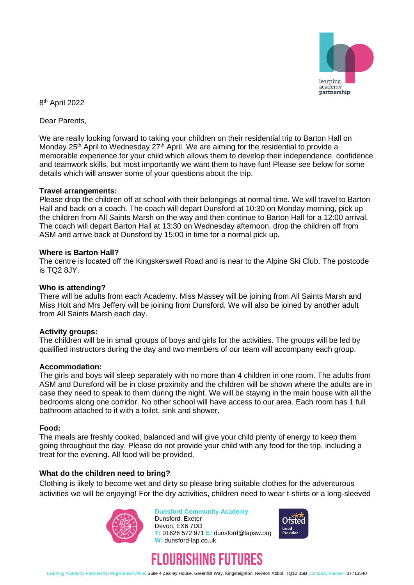

8<sup>th</sup> April 2022

Dear Parents,

We are really looking forward to taking your children on their residential trip to Barton Hall on Monday 25<sup>th</sup> April to Wednesday 27<sup>th</sup> April. We are aiming for the residential to provide a memorable experience for your child which allows them to develop their independence, confidence and teamwork skills, but most importantly we want them to have fun! Please see below for some details which will answer some of your questions about the trip.

# **Travel arrangements:**

Please drop the children off at school with their belongings at normal time. We will travel to Barton Hall and back on a coach. The coach will depart Dunsford at 10:30 on Monday morning, pick up the children from All Saints Marsh on the way and then continue to Barton Hall for a 12:00 arrival. The coach will depart Barton Hall at 13:30 on Wednesday afternoon, drop the children off from ASM and arrive back at Dunsford by 15:00 in time for a normal pick up.

# **Where is Barton Hall?**

The centre is located off the Kingskerswell Road and is near to the Alpine Ski Club. The postcode is TQ2 8JY.

# **Who is attending?**

There will be adults from each Academy. Miss Massey will be joining from All Saints Marsh and Miss Holt and Mrs Jeffery will be joining from Dunsford. We will also be joined by another adult from All Saints Marsh each day.

### **Activity groups:**

The children will be in small groups of boys and girls for the activities. The groups will be led by qualified instructors during the day and two members of our team will accompany each group.

### **Accommodation:**

The girls and boys will sleep separately with no more than 4 children in one room. The adults from ASM and Dunsford will be in close proximity and the children will be shown where the adults are in case they need to speak to them during the night. We will be staying in the main house with all the bedrooms along one corridor. No other school will have access to our area. Each room has 1 full bathroom attached to it with a toilet, sink and shower.

### **Food:**

The meals are freshly cooked, balanced and will give your child plenty of energy to keep them going throughout the day. Please do not provide your child with any food for the trip, including a treat for the evening. All food will be provided.

### **What do the children need to bring?**

Clothing is likely to become wet and dirty so please bring suitable clothes for the adventurous activities we will be enjoying! For the dry activities, children need to wear t-shirts or a long-sleeved



#### **Dunsford Community Academy** Dunsford, Exeter Devon, EX6 7DD

**W:** dunsford-lap.co.uk





**T:** 01626 572 971 **E:** dunsford@lapsw.org

Learning Academy Partnership Registered Office: Suite 4 Zealley House, Greenhill Way, Kingsteignton, Newton Abbot, TQ12 3SB Company number: 07713540